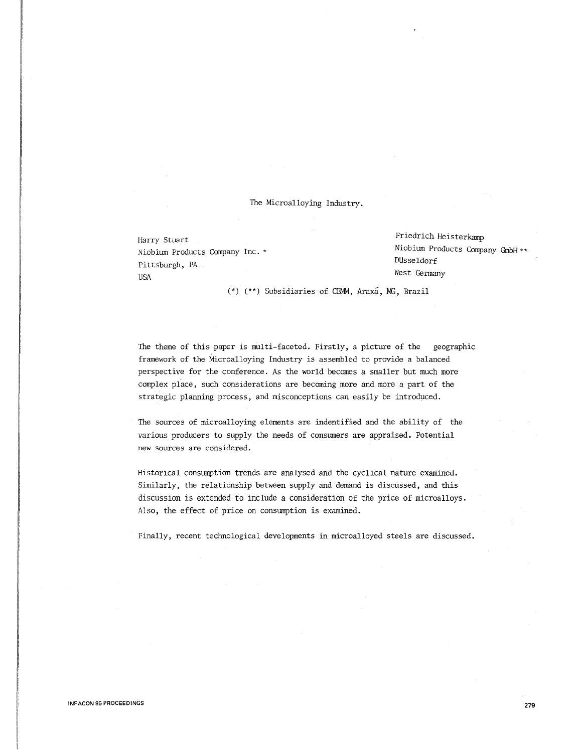# The Microalloying Industry.

Niobium Products Company Inc. \* Pittsburgh, PA USA West Germany

Harry Stuart Friedrich Heisterkamp Niobium Products Company GmbH \*\* DUsseldorf

 $(*)$   $(**)$  Subsidiaries of CBMM, Araxa, MG, Brazil

The theme of this paper is multi-faceted. Firstly, a picture of the geographic framework of the Microalloying Industry is assembled to provide a balanced perspective for the conference. As the world becomes a smaller but much more complex place, such considerations are becoming more and more a part of the strategic planning process, and misconceptions can easily be introduced.

The sources of microalloying elements are indentified and the ability of the various producers to supply the needs of consumers are appraised. Potential new sources are considered.

Historical consumption trends are analysed and the cyclical nature examined. Similarly, the relationship between supply and demand is discussed, and this discussion is extended to include a consideration of the price of microalloys. Also, the effect of price on consumption is examined.

Finally, recent technological developments in microalloyed steels are discussed.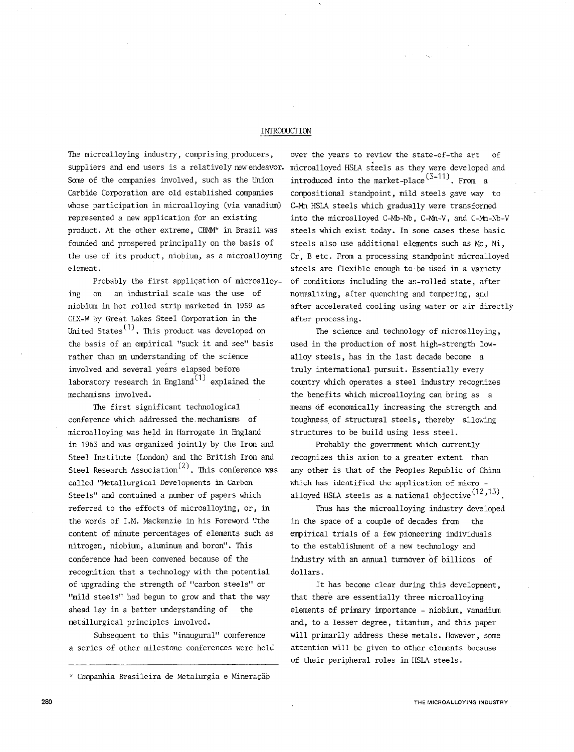## INTRODUCTION

The microalloying industry, comprising producers, suppliers and end users is a relatively rew endeavor. Some of the companies involved, such as the Union Carbide Corporation are old established companies whose participation in microalloying (via vanadium} represented a new application for an existing product. At the other extreme, CBMM\* in Brazil was founded and prospered principally on the basis of the use of its product, niobium, as a microalloying element.

Probably the first application of microalloying on an industrial scale was the use of niobium in hot rolled strip marketed in 1959 as GLX-W by Great Lakes Steel Corporation in the United States<sup>(1)</sup>. This product was developed on the basis of an empirical "suck it and see" basis rather than an understanding of the science involved and several years elapsed before laboratory research in England $(1)$  explained the mechamisms involved.

1he first significant technological conference which addressed the.mechamisms of microalloying was held in Harrogate in England in 1963 and was organized jointly by the Iron and Steel Institute (London) and the British Iron and Steel Research Association<sup>(2)</sup>. This conference was called "Metallurgical Developments in Carbon Steels" and contained a number of papers which referred to the effects of microalloying, or, in the words of I.M. Mackenzie in his Foreword "the content of minute percentages of elements such as nitrogen, niobium, aluminum and boron". 1his conference had been convened because of the recognition that a technology with the potential of upgrading the strength of "carbon steels" or "mild steels" had begun to grow and that the way ahead lay in a better understanding of the metallurgical principles involved.

Subsequent to this "inaugural" conference a series of other milestone conferences were held

\* Companhia Brasileira de Metalurgia e Mineração

over the years to review the state-of-the art of microalloyed HSLA steels as they were developed and introduced into the market-place<sup>(3-11)</sup>. From a compositional standpoint, mild steels gave way to C-Mn HSLA steels which gradually were transformed into the microalloyed C-Mb-Nb, C-Mn-V, and C-Mn-Nb-V steels which exist today. In some cases these basic steels also use additional elements such as Mo, Ni, Cr, B etc. From a processing standpoint microalloyed steels are flexible enough to be used in a variety of conditions including the a5-rolled state, after normalizing, after quenching and tempering, and after accelerated cooling using water or air directly after processing.

The science and technology of microalloying, used in the production of most high-strength lowalloy steels, has in the last decade become a truly international pursuit. Essentially every country which operates a steel industry recognizes the benefits which microalloying can bring as a means of economically increasing the strength and toughness of structural steels, thereby allowing structures to be build using less steel.

Probably the government which currently recognizes this axion to a greater extent than any other is that of the Peoples Republic of China which has identified the application of micro alloyed HSLA steels as a national objective $^{(12,13)}.$ 

1hus has the microalloying industry developed in the space of a couple of decades from the empirical trials of a few pioneering individuals to the establishment of a new technology and industry with an annual turnover of billions of dollars.

It has become clear during this development, that there are essentially three microalloying elements of primary importance - niobium, vanadium and, to a lesser degree, titanium, and this paper will primarily address these metals. However, some attention will be given to other elements because of their peripheral roles in HSLA steels.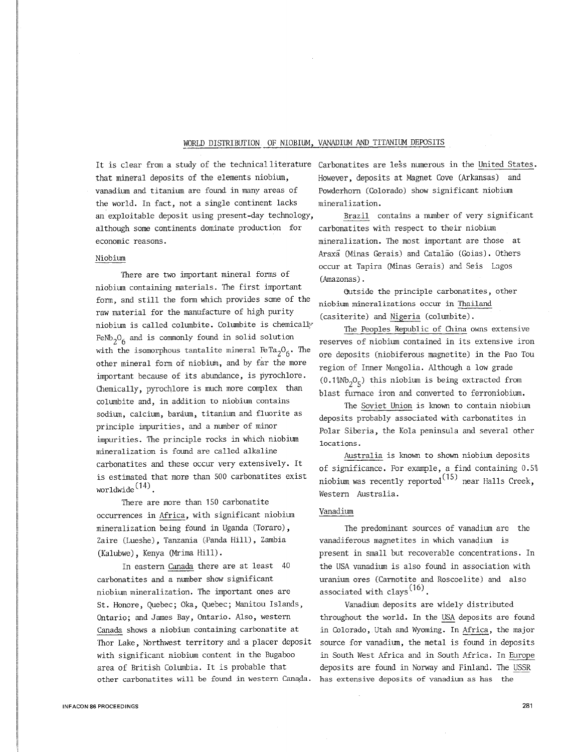### WORLD DISTRIBUTION OF NIOBIUM, VANADIUM AND TITANIUM DEPOSITS

It is clear from a study of the technical literature Carbonatites are less numerous in the United States. that mineral deposits of the elements niobium, However, deposits at Magnet Cove (Arkansas) and vanadium and titanium are found in many areas of Powderhorn (Colorado) show significant niobium the world. In fact, not a single continent lacks mineralization. an exploitable deposit using present-day technology, Brazil contains a number of very significant although some continents dominate production for economic reasons.

### Niobium

There are two important mineral forms of niobium containing materials. The first :important form, and still the form which provides some of the raw material for the manufacture of high purity niobium is called columbite. Columbite is chemically FeNb<sub>2</sub>O<sub>6</sub> and is commonly found in solid solution with the isomorphous tantalite mineral  $F^{Ta}{}_{2}$ <sup>0</sup><sub>6</sub>. The other mineral form of niobium, and by far the more important because of its abundance, is pyrochlore. Chemically, pyrochlore is much more complex than columbite and, in addition to niobium contains sodium, calcium, barium, titanium and fluorite as principle :impurities, and a number of minor :impurities. The principle rocks in which niobium mineralization is found are called alkaline carbonatites and these occur very extensively. It is estimated that more than 500 carbonatites exist worldwide $(14)$ .

There are more than 150 carbonatite occurrences in Africa, with significant niobium mineralization being found in Uganda (Toraro), Zaire (Lueshe), Tanzania (Panda Hill), Zambia (Kalubwe), Kenya (Mrima Hill).

In eastern Canada there are at least 40 carbonatites and a number show significant niobium mineralization. The important ones are St. Honore, Quebec; Oka, Quebec; Manitou Islands, Ontario; and James Bay, Ontario. Also, western Canada shows a niobium containing carbonatite at Thor Lake, Northwest territory and a placer deposit with significant niobium content in the Bugaboo area of British Columbia. It is probable that other carbonatites will be found in western Canada. has extensive deposits of vanadium as has the

carbonatites with respect to their niobium mineralization. The most important are those at Araxa (Minas Gerais) and Catalao (Goias). Others occur at Tapira (Minas Gerais) and Seis Lagos (Amazonas) .

(Jutside the principle carbonatites, other niobium mineralizations occur in Thailand (casiterite) and Nigeria (columbite).

The Peoples Republic of China owns extensive reserves of niobium contained in its extensive iron ore deposits (niobiferous magnetite) in the Pao Tou region of Inner Mongolia. Although a low grade  $(0.1\%Nb<sub>2</sub>O<sub>5</sub>)$  this niobium is being extracted from blast furnace iron and converted to ferroniobium.

The Soviet Union is known to contain niobium deposits probably associated with carbonatites in Polar Siberia, the Kola peninsula and several other locations.

Australia is known to shown niobium deposits of significance. For example, a find containing 0.5% niobium was recently reported<sup>(15)</sup> near Halls Creek, Western Australia.

### Vanadium

The predominant sources of vanadium are the vanadiferous magnetites in which vanadium is present in small but recoverable concentrations. In the USA vanadium is also found in association with uranium ores (Carnotite and Roscoelite) and also associated with clays<sup>(16)</sup>.

Vanadium deposits are widely distributed throughout the world. In the USA deposits are found in Colorado, Utah and Wyoming. In Africa, the major source for vanadium, the metal is found in deposits in South West Africa and in South Africa. In Europe deposits are found in Norway and Finland. The USSR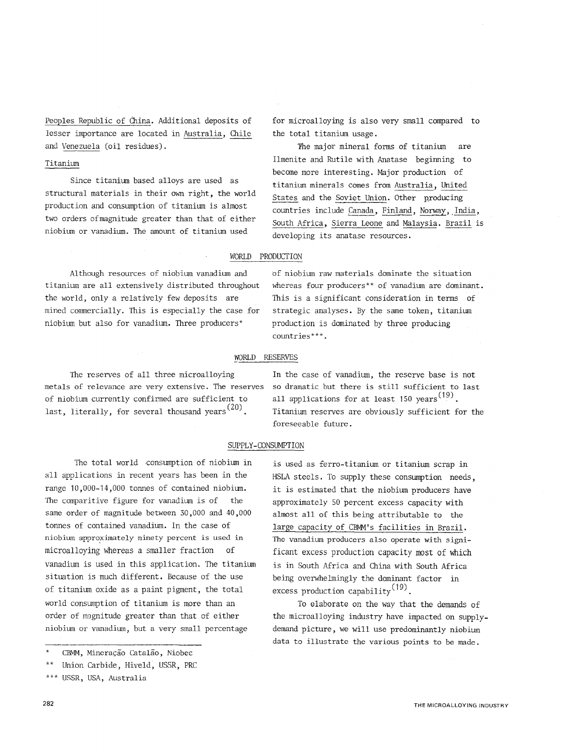Peoples Republic of China. Additional deposits of lesser :importance are located in Australia, Chile and Venezuela (oil residues).

### Titanium

Since titanium based alloys are used as structural materials in their own right, the world production and consumption of titanium is almost two orders ofmagnitude greater than that of either niobium or vanadium. The amount of titanium used

for microalloying is also very small compared to the total titanium usage.

'Fhe major mineral forms of titanium are Ilmenite and Rutile with Anatase beginning to become more interesting. Major production of titanium minerals comes from Australia, United States and the Soviet Union. Other producing countries include Canada, Finland, Norway, India, South Africa, Sierra Leone and Malaysia. Brazil is developing its anatase resources.

### WORlD PRODUCTION

Although resources of niobium vanadium and titanium are all extensively distributed throughout the world, only a relatively few deposits are mined commercially. This is especially the case for niobium but also for vanadium. Three producers\*

of niobium raw materials dominate the situation whereas four producers\*\* of vanadium are dominant. This is a significant consideration in terms of strategic analyses. By the same token, titanium production is dominated by three producing countries\*\*\*.

#### WORlD RESERVES

The reserves of all three microalloying metals of relevance are very extensive. The reserves of niobium currently confirmed are sufficient to last, literally, for several thousand years<sup>(20)</sup>.

In the case of vanadium, the reserve base is not so dramatic but there is still sufficient to last all applications for at least 150 years<sup>(19)</sup>. Titanium reserves are obviously sufficient for the foreseeable future.

is used as ferro-titanium or titanium scrap in HSLA steels. To supply these consumption needs, it is estimated that the niobium producers have approximately 50 percent excess capacity with almost all of this being attributable to the large capacity of CBMM's facilities in Brazil. The vanadium producers also operate with significant excess production capacity most of which is in South Africa and China with South Africa being overwhelmingly the dominant factor in

To elaborate on the way that the demands of the microalloying industry have impacted on supplydemand picture, we will use predominantly niobium data to illustrate the various points to be made.

excess production capability<sup>(19)</sup>.

## SUPPLY-CONSUMPTION

The total world consumption of niobium in all applications in recent years has been in the range 10,000-14,000 tonnes of contained niobium. The comparitive figure for vanadium is of the same order of magnitude between 30,000 and 40,000 tonnes of contained vanadium. In the case of niobium approximately ninety percent is used in microalloying whereas a smaller fraction of vanadium is used in this application. The titanium situation is much different. Because of the use of titanium oxide as a paint pigment, the total world consumption of titanium is more than an order of magnitude greater than that of either niobium or vanadium, but a very small percentage

CBMM, Mineração Catalão, Niobec

<sup>\*\*</sup>  Union Carbide, Hiveld, USSR, PRC

<sup>\*\*\*</sup>  USSR, USA, Australia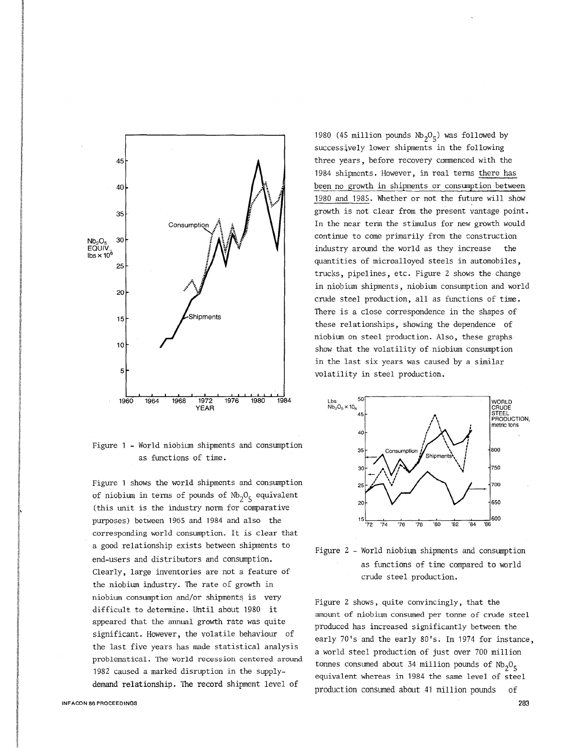

Figure 1 - World niobium shipments and consumption as functions of time.

Figure 1 shows the world shipments and consumption of niobium in terms of pounds of  $Nb_2O_5$  equivalent (this unit is the industry norm for comparative purposes) between 1965 and 1984 and also the corresponding world consumption. It is clear that a good relationship exists between shipments to end-users and distributors and consumption. Clearly, large inventories are not a feature of the niobium industry. The rate of growth in niobium consumption and/or shipments is very difficult to determine. Until about 1980 it appeared that the annual growth rate was quite significant. However, the volatile behaviour of the last five years has made statistical analysis problematical. 1he world recessioh centered around 1982 caused a marked disruption in the supplydemand relationship. The record shipment level of

1980 (45 million pounds  $Nb_2O_5$ ) was followed by successively lower shipments in the following three years, before recovery commenced with the 1984 shipments. However, in real terms there has been no growth in shipments or consumption between 1980 and 1985. Whether or not the future will show growth is not clear from the present vantage point. In the near term the stimulus for new growth would continue to come primarily from the construction industry around the world as they increase the quantities of microalloyed steels in automobiles, trucks, pipelines, etc. Figure 2 shows the change in niobium shipments, niobium consumption and world crude steel production, all as functions of time. There is a close correspondence in the shapes of these relationships, showing the dependence of niobium on steel production. Also, these graphs show that the volatility of niobium consumption in the last six years was caused by a similar volatility in steel production.



Figure 2 - World niobium shipments and consumption as functions of time compared to world crude steel production.

Figure 2 shows, quite convincingly, that the amount of niobium consumed per tonne of crude steel produced has increased significantly between the early ?O's and the early SO's. In 1974 for instance, a world steel production of just over 700 million tonnes consumed about 34 million pounds of  $Nb_2O_5$ equivalent whereas in 1984 the same level of steel production consumed about 41 million pounds of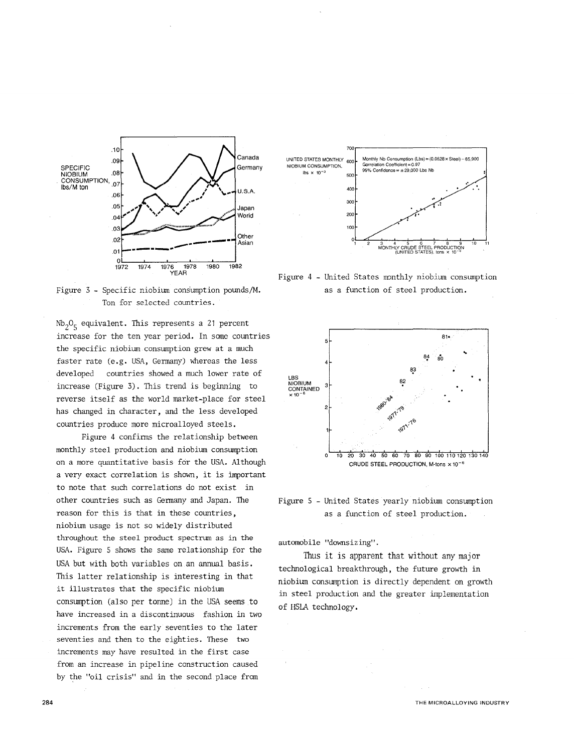

Figure 3 - Specific niobium consumption pounds/M. Ton for selected countries.

 $\mathrm{Nb}_2\mathrm{O}_5$  equivalent. This represents a 21 percent increase for the ten year period. In some countries the specific niobium consumption grew at a much faster rate (e.g. USA, Germany) whereas the less developed countries showed a much lower rate of increase (Figure 3). This trend is beginning to reverse itself as the world market-place for steel has changed in character, and the less developed countries produce more microalloyed steels.

Figure 4 confinns the relationship between monthly steel production and niobium consumption on a more quantitative basis for the USA. Although a very exact correlation is shown, it is important to note that such correlations do not exist in other countries such as Germany and Japan. The reason for this is that in these countries, niobium usage is not so widely distributed throughout the steel product spectrum as in the USA. Figure 5 shows the same relationship for the USA but with both variables on an annual basis. This latter relationship is interesting in that it illustrates that the specific niobium consumption (also per tonne) in the USA seems to have increased in a discontinuous fashion in two increments from the early seventies to the later seventies and then to the eighties. These two increments may have resulted in the first case from an increase in pipeline construction caused by the "oil crisis" and in the second place from



Figure 4 - United States monthly niobium consumption as a function of steel production.



Figure 5 - United States yearly niobium consumption as a function of steel production.

automobile "downsizing".

Thus it is apparent that without any major technological breakthrough, the future growth in niobium consumption is directly dependent on growth in steel production and the greater implementation of HSLA technology.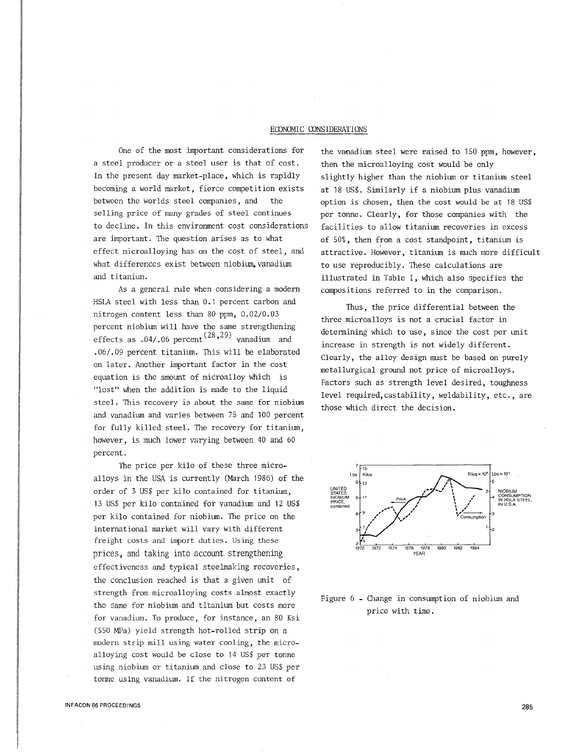### ECONOMIC CONSIDERATIONS

One of the most important considerations for a steel producer or a steel user is that of cost. In the present day market-place, which is rapidly becoming a world market, fierce competition exists between the worlds steel companies, and the selling price of many grades of steel continues to decline. In this environment cost considerations are important. The question arises as to what effect microalloying has on the cost of steel, and what differences exist between niobium, vanadium and titanium.

As a general rule when considering a modern HSLA steel with less than 0.1 percent carbon and nitrogen content less than 80 ppm, 0.02/0.03 percent niobium will have the same strengthening effects as  $.04/.06$  percent $^{(28,29)}$  vanadium and . 06/.09 percent titanium. This will be elaborated on later. Another important factor in the cost equation is the amount of microalloy which is "lost" when the addition is made to the liquid steel. This recovery is about the same for niobium and vanadium and varies between 75 and 100 percent for fully killed steel. The recovery for titanium, however, is much lower varying between 40 and 60 percent.

The price per kilo of these three microalloys in the USA is currently (March 1986) of the order of 3 US\$ per kilo contained for titanium, 13 US\$ per kilo contained for vanadium and 12 US\$ per kilo contained for niobium. The price on the international market will vary with different freight costs and import duties. Using these prices, and taking into account strengthening effectiveness and typical steelmaking recoveries, the conclusion reached is that a given unit of strength from microalloying costs almost exactly the same for niobium and titanium but costs more for vanadium. To produce, £or instance, an 80 Ksi (550 MPa) yield strength hot-rolled strip on a modern strip mill using water cooling, the microalloying cost would be close to 14 US\$ *per* tonne using niobium or titanium and close to 23 US\$ per tonne using vanadium. If the nitrogen content of

the vanadium steel were raised to 150 ppm, however, then the microalloying cost would be only slightly higher than the niobium or titanium steel at 18 US\$. Similarly if a niobium plus vanadium option is chosen, then the cost would be at 18 US\$ per tonne. Clearly, for those companies with the facilities to allow titanium recoveries in excess of 50%, then from a cost standpoint, titanium is attractive. However, titanium is much more difficult to use reproducibly. These calculations are illustrated in Table I, which also specifies the compositions referred to in the comparison.

Thus, the price differential between the three microalloys is not a crucial factor in determining which to use, since the cost per unit increase in strength is not widely different . Clearly, the alloy design must be based on purely metallurgical ground not price of microalloys. Factors such as strength level desired, toughness level required,castability, weldability, etc., are those which direct the decision.



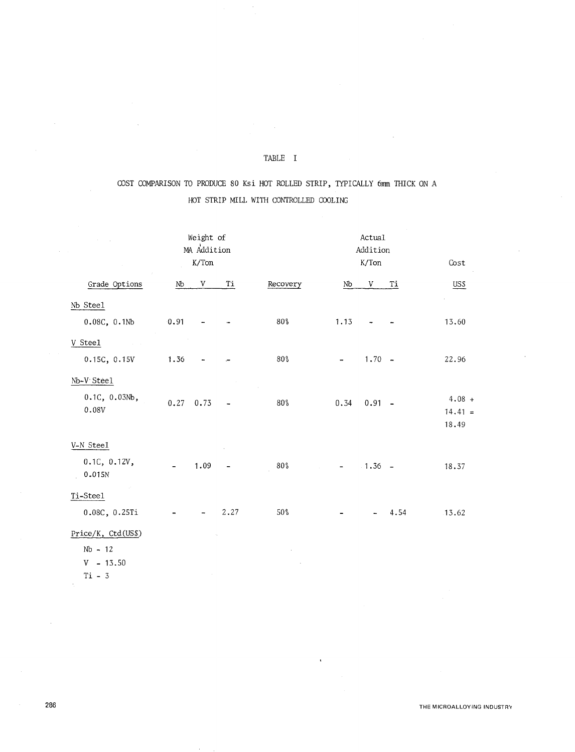# TABLE I

# COST COMPARISON TO PRODUCE 80 Ksi HOT ROLLED STRIP, TYPICALLY 6mm THICK ON A HOT STRIP MILL WITH CONTROLLED COOLING

|                                                            | Weight of<br>MA Addition<br>$\rm K/Ton$ |                          |                              | Actual<br>Addition<br>K/Ton<br>Cost |      |           |      |                                |  |  |
|------------------------------------------------------------|-----------------------------------------|--------------------------|------------------------------|-------------------------------------|------|-----------|------|--------------------------------|--|--|
| Grade Options                                              | Nb                                      | V                        | Ti                           | Recovery                            | Nb   | V         | Тi   | US\$                           |  |  |
| Nb Steel                                                   |                                         |                          |                              |                                     |      |           |      |                                |  |  |
| 0.08C, 0.1Mb                                               | 0.91                                    |                          |                              | $80\frac{6}{9}$                     | 1.13 |           |      | 13.60                          |  |  |
| V Steel<br>$\mathcal{L}^{\text{max}}$ and                  |                                         |                          |                              |                                     |      |           |      |                                |  |  |
| 0.15C, 0.15V                                               | 1.36                                    |                          |                              | $80\%$                              |      | $1.70 -$  |      | 22.96                          |  |  |
| Nb-V Steel                                                 |                                         |                          |                              |                                     |      |           |      |                                |  |  |
| 0.1C, 0.03Nb,<br>0.08V                                     | 0.27                                    | 0.73                     |                              | $80\%$                              | 0.34 | $0.91 -$  |      | $4.08 +$<br>$14.41 =$<br>18.49 |  |  |
| V-N Steel                                                  |                                         |                          |                              |                                     |      |           |      |                                |  |  |
| 0.1C, 0.12V,<br>0.015N                                     | $\blacksquare$                          | 1.09                     | $\qquad \qquad \blacksquare$ | $80\%$                              | ÷    | $-1.36 -$ |      | 18.37                          |  |  |
| Ti-Steel                                                   |                                         |                          |                              |                                     |      |           |      |                                |  |  |
| 0.08C, 0.25Ti                                              |                                         | $\overline{\phantom{a}}$ | 2.27                         | $50\%$                              |      |           | 4.54 | 13.62                          |  |  |
| Price/K, Ctd(US\$)<br>$Nb - 12$<br>$V - 13.50$<br>$Ti - 3$ |                                         |                          |                              |                                     |      |           |      |                                |  |  |

 $\ddot{\phantom{a}}$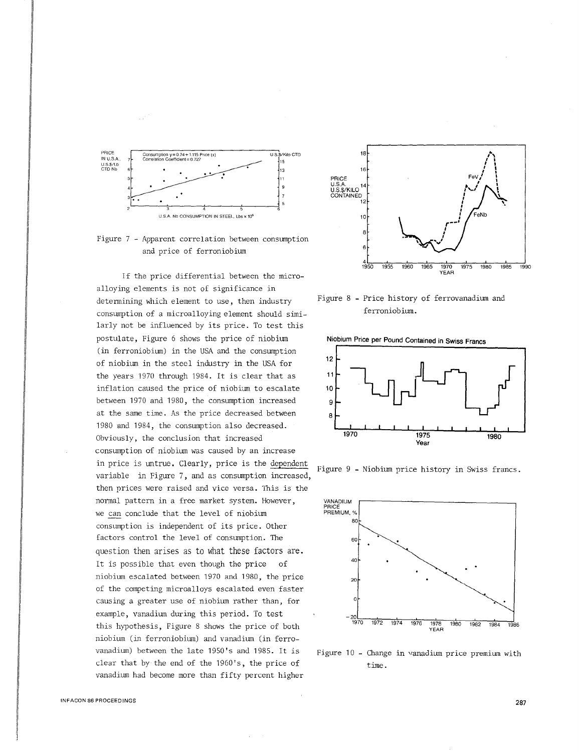



If the price differential between the microalloying elements is not of significance in determining which element to use, then industry consumption of a microalloying element should similarly not be influenced by its price. To test this postulate, Figure 6 shows the price of niobium (in ferroniobium) in the USA and the consumption of niobium in the steel industry in the USA for the years 1970 through 1984. It is clear that as inflation caused the price of niobium to escalate between 1970 and 1980, the consumption increased at the same time. As the price decreased between 1980 and 1984, the consumption also decreased. Obviously, the conclusion that increased consumption of niobium was caused by an increase in price is untrue. Clearly, price is the dependent Figure 9 - Niobium price history in Swiss francs. variable in Figure 7, and as consumption increased, then prices were raised and vice versa. This is the normal pattern in a free market system. However, we can conclude that the level of niobium consumption is independent of its price. Other factors control the level of consumption. The question then arises as to what these factors are. It is possible that even though the price of niobium escalated between 1970 and 1980, the price of the competing microalloys escalated even faster causing a greater use of niobium rather than, for example, vanadium during this period. To test this hypothesis, Figure 8 shows the price of both niobium (in ferroniobium) and vanadium (in ferrovanadium) between the late 1950's and 1985. It is clear that by the end of the 1960's, the price of vanadium had become more than fifty percent higher



Figure 8 - Price history of ferrovanadium and ferroniobium.

Niobium Price per Pound Contained in Swiss Francs





Figure 10 - Change in vanadium price premium with time.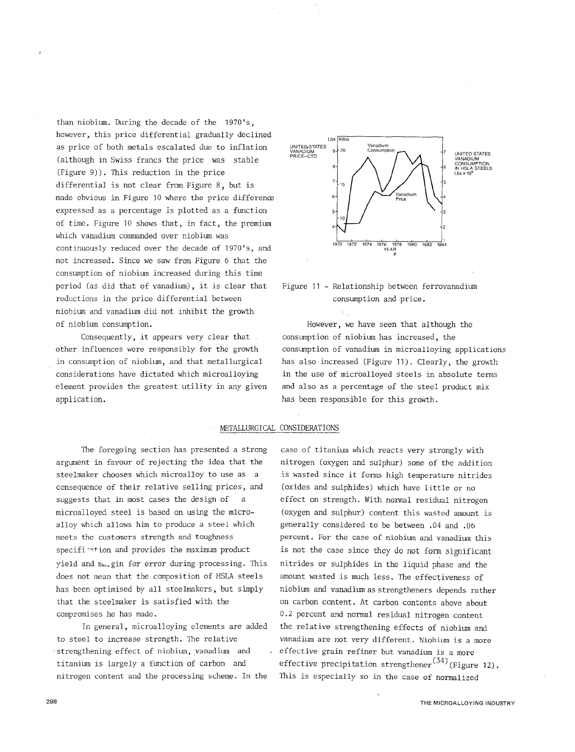than niobium. During the decade of the 1970's, however, this price differential gradually declined as price of both metals escalated due to inflation (although in Swiss francs the price was stable (Figure 9)). This reduction in the price differential is not clear from Figure 8, but is made obvious in Figure 10 where the price difference expressed as a percentage is plotted as a function of time. Figure 10 shows that, in fact, the premium which vanadium commanded over niobium was continuously reduced over the decade of 1970's, and not increased. Since we saw from Figure 6 that the consumption of niobiurn increased during this time period (as did that of vanadium), it is clear that reductions in the price differential between niobiurn and vanadium did not inhibit the growth of niobium consumption.

Consequently, it appears very clear that  $\overline{a}$ . other influences were responsibly for the growth in consumption of niobium, and that metallurgical considerations have dictated which microalloying element provides the greatest utility in any given application.





However, we have seen that although the consumption of niobium has increased, the consumption of vanadium in microalloying applications has also increased (Figure 11). Clearly, the growth in the use of microalloyed steels in absolute terms and also as a percentage of the steel product mix has been responsible for this growth.

### METALLURGICAL CONSIDERATIONS

The foregoing section has presented a strong argument in favour of rejecting the idea that the steelmaker chooses which microalloy to use as a consequence of their relative selling prices, and suggests that in most cases the design of a microalloyed steel is based on using the microalloy which allows him to produce a steel which meets the customers strength and toughness specifi- $\gamma$ tion and provides the maximum product yield and  $n_{1u}$ gin for error during processing. This does not mean that the composition of HSLA steels has been optimised by all steelmakers, but simply that the steelmaker is satisfied with the compromises he has made.

In general, microalloying elements are added to steel to increase strength. The relative strengthening effect of niobium, vanadium and titanium is largely a function of carbon and nitrogen content and the processing scheme. In the

case of titanium which reacts very strongly with nitrogen (oxygen and sulphur) some of the addition is wasted since it forms high temperature nitrides (oxides and sulphides) which have little or no effect on strength. With normal residual nitrogen (oxygen and sulphur) content this wasted amount is generally considered to be between .04 and .06 percent. For the case of niobium and vanadium this is not the case since they do not fonn significant nitrides or sulphides in the liquid phase and the amount wasted is much less. The effectiveness of niobium and vanadium as strengtheners depends rather on carbon content. At carbon contents above about 0.2 percent and normal residual nitrogen content the relative strengthening effects of niobium and vanadium are not very different. Niobium is a more effective grain refiner but vanadium is a more effective precipitation strengthener<sup>(34)</sup>(Figure 12). This is especially so in the case of normalized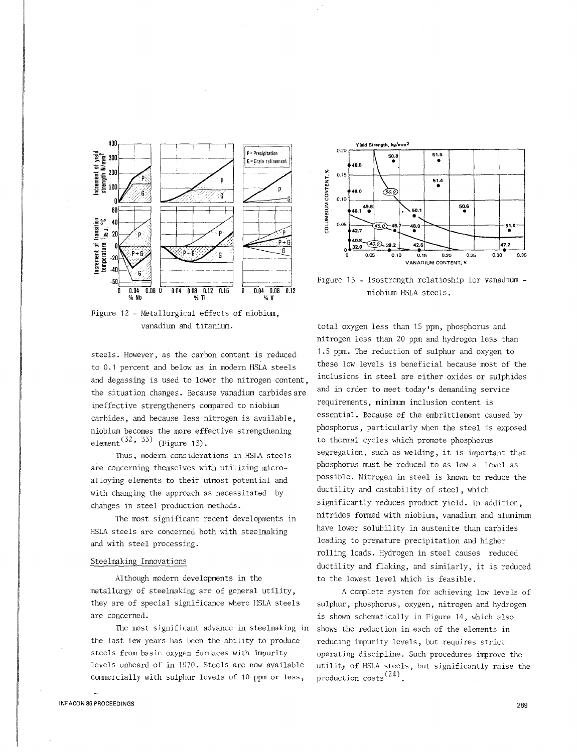

Figure 12 - Metallurgical effects of niobium, vanadium and titanium.

steels. However, as the carbon content is reduced to 0.1 percent and below as in modern HSLA steels and degassing is used to lower the nitrogen content, the situation changes. Because vanadium carbides are ineffective strengtheners compared to niobium carbides, and because less nitrogen is available, niobium becomes the more effective strengthening element<sup>(32, 33)</sup> (Figure 13).

Thus, modern considerations in HSLA steels are concerning themselves with utilizing microalloying elements to their utmost potential and with changing the approach as necessitated by changes in steel production methods.

The most significant recent developments in HSLA steels are concerned both with steelmaking and with steel processing.

### Steelmaking Innovations

Although modern developments in the metallurgy of steelmaking are of general utility, they are of special significance where HSLA steels are concerned.

The most significant advance in steelmaking in the last few years has been the ability to produce steels from basic oxygen furnaces with impurity levels unheard of in 1970. Steels are now available commercially with sulphur levels of 10 ppm or less,



Figure 13 - Isostrength relatioship for vanadium niobium HSLA steels.

total oxygen less than 15 ppm, phosphorus and nitrogen less than 20 ppm and hydrogen less than 1.5 ppm. The reduction of sulphur and oxygen to these low levels is beneficial because most of the inclusions in steel are either oxides or sulphides and in order to meet today's demanding service requirements, minimum inclusion content is essential. Because of the embrittlement caused by phosphorus, particularly when the steel is exposed to thermal cycles which promote phosphorus segregation, such as welding, it is important that phosphorus must be reduced to as low a level as possible. Nitrogen in steel is known to reduce the ductility and castability of steel, which significantly reduces product yield. In addition, nitrides formed with niobium, vanadium and aluminum have lower solubility in austenite than carbides leading to premature precipitation and higher rolling loads. Hydrogen in steel causes reduced ductility and flaking, and similarly, it is reduced to the lowest level which is feasible.

A complete system for achieving low levels of sulphur, phosphorus, oxygen, nitrogen and hydrogen is shown schematically in Figure 14, which also shows the reduction in each of the elements in reducing impurity levels, but requires strict operating discipline. Such procedures improve the utility of HSLA steels, but significantly raise the production costs<sup>(24)</sup>.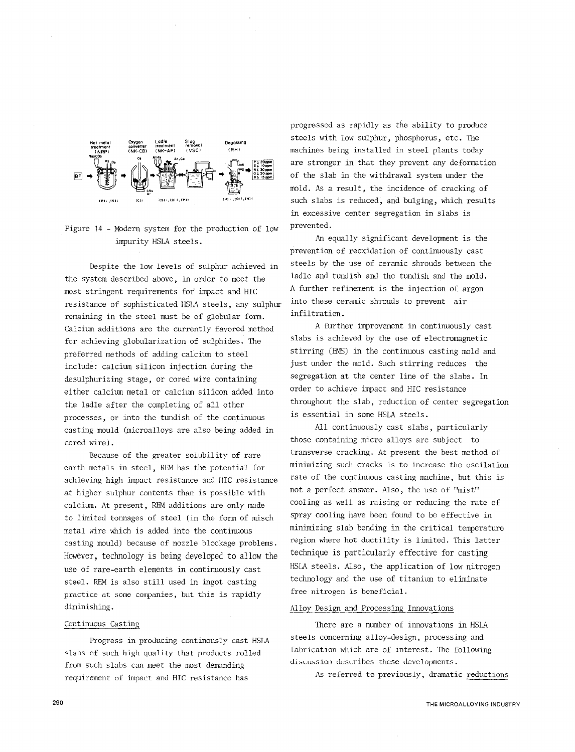

Figure 14 - Modern system for the production of low impurity HSLA steels.

Despite the low levels of sulphur achieved in the system described above, in order to meet the most stringent requirements for impact and HIC resistance of sophisticated HSLA steels, any sulphur into these ceramic shrouds to prevent air remaining in the steel must be of globular form. Calcium additions are the currently favored method for achieving globularization of sulphides. The preferred methods of adding calcium to steel include: calcium silicon injection during the desulphurizing stage, or cored wire containing either calcium metal or calcium silicon added into the ladle after the completing of all other processes, or into the tundish of the continuous casting mould (microalloys are also being added in cored wire).

Because of the greater solubility of rare earth metals in steel, REM has the potential for achieving high impact.resistance and HIC resistance at higher sulphur contents than is possible with calcium. At present, REM additions are only made to limited tonnages of steel (in the form of misch metal wire which is added into the continuous casting mould) because of nozzle blockage problems. However, technology is being developed to allow the use of rare-earth elements in continuously cast steel. REM is also still used in ingot casting practice at some companies, but this is rapidly diminishing.

### Continuous Casting

Progress in producing continously cast HSLA slabs of such high quality that products rolled from such slabs can meet the most demanding requirement of impact and HIC resistance has

progressed as rapidly as the ability to produce steels with low sulphur, phosphorus, etc. The machines being installed in steel plants today are stronger in that they prevent any deformation of the slab in the withdrawal system under the mold. As a result, the incidence of cracking of such slabs is reduced, and bulging, which results in excessive center segregation in slabs is prevented.

An equally significant development is the prevention of reoxidation of continuously cast steels by the use of ceramic shrouds between the ladle and tundish and the tundish and the mold. *A* further refinement is the injection of argon infiltration.

*A* further improvement in continuously cast slabs is achieved by the use of electromagnetic stirring (EMS) in the continuous casting mold and just under the mold. Such stirring reduces the segregation at the center line of the slabs. In order to achieve impact and HIC resistance throughout the slab, reduction of center segregation is essential in some HSLA steels.

All continuously cast slabs, particularly those containing micro alloys are subject to transverse cracking. At present the best method of minimizing such cracks is to increase the oscilation rate of the continuous casting machine, but this is not a perfect answer. Also, the use of "mist" cooling as well as raising or reducing the rate of spray cooling have been found to be effective in minimizing slab bending in the critical temperature region where hot ductility is limited. This latter technique is particularly effective for casting HSLA steels. Also, the application of low nitrogen technology and the use of titanium to eliminate free nitrogen is beneficial.

### Alloy Design and Processing Innovations

There are a number of innovations in HSLA steels concerning alloy-design, processing and fabrication which are of interest. The following discussion describes these developments.

A5 referred to previously, dramatic reductions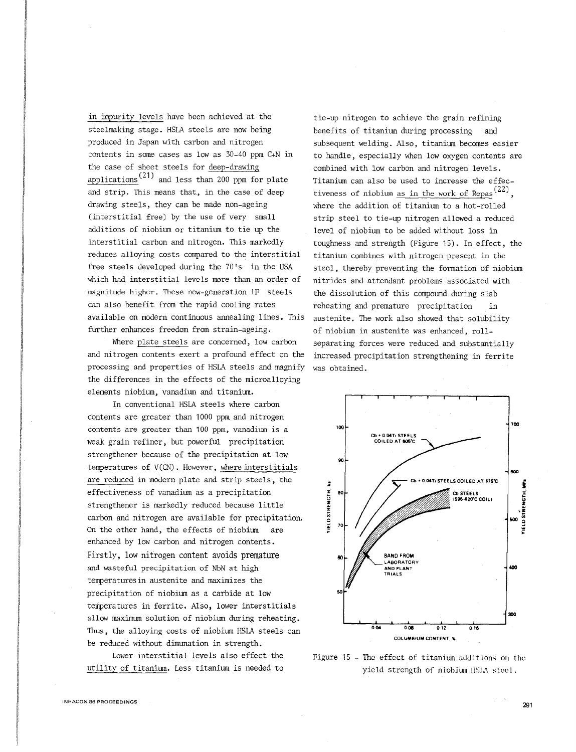in impurity levels have been achieved at the steelmaking stage. HSLA steels are now being produced in Japan with carbon and nitrogen contents in some cases as low as 30-40 ppm C+N in the case of sheet steels for deep-drawing applications<sup> $(21)$ </sup> and less than 200 ppm for plate and strip. This means that, in the case of deep drawing steels, they can be made non-ageing (interstitial free) by the use of very small additions of niobium or titanium to tie up the interstitial carbon and nitrogen. This markedly reduces alloying costs compared to the interstitial free steels developed during the 70's in the USA which had interstitial levels more than an order of magnitude higher. These new-generation IF steels can also benefit from the rapid cooling rates available on modern continuous annealing lines. This further enhances freedom from strain-ageing.

Where plate steels are concerned, low carbon and nitrogen contents exert a profound effect on the processing and properties of HSLA steels and magnify was obtained. the differences in the effects of the microalloying elements niobium, vanadium and titanium.

In conventional HSLA steels where carbon contents are greater than 1000 ppm and nitrogen contents are greater than 100 ppm, vanadium is a weak grain refiner, but powerful precipitation strengthener because of the precipitation at low temperatures of V(CN). However, where interstitials are reduced in modern plate and strip steels, the effectiveness of vanadium as a precipitation strengthener is markedly reduced because little carbon and nitrogen are available for precipitation. On the other hand, the effects of niobium are enhanced by low carbon and nitrogen contents. Firstly, low nitrogen content avoids premature and wasteful precipitation of NbN at high temperaturesin austenite and maximizes the precipitation of niobium as a carbide at low temperatures in ferrite. Also, lower interstitials allow maximum solution of niobium during reheating. Thus, the alloying costs of niobium HSIA steels can be reduced without dimunation in strength.

Lower interstitial levels also effect the utility of titanium. Less titanium is needed to

benefits of titanium during processing and subsequent welding. Also, titanium becomes easier to handle, especially when low oxygen contents are combined with low carbon and nitrogen levels. Titanium can also be used to increase the effectiveness of niobium as in the work of Repas<sup> $(22)$ </sup>. where the addition of titanium to a hot-rolled strip steel to tie-up nitrogen allowed a reduced level of niobium to be added without loss in toughness and strength (Figure 15). In effect, the titanium combines with nitrogen present in the steel, thereby preventing the formation of niobium nitrides and attendant problems associated with the dissolution of this compound during slab reheating and premature precipitation in austenite. The work also showed that solubility of niobium in austenite was enhanced, rollseparating forces were reduced and substantially increased precipitation strengthening in ferrite

tie-up nitrogen to achieve the grain refining



Figure 15 - The effect of titanium additions on the yield strength of niobium ISLA steel.

291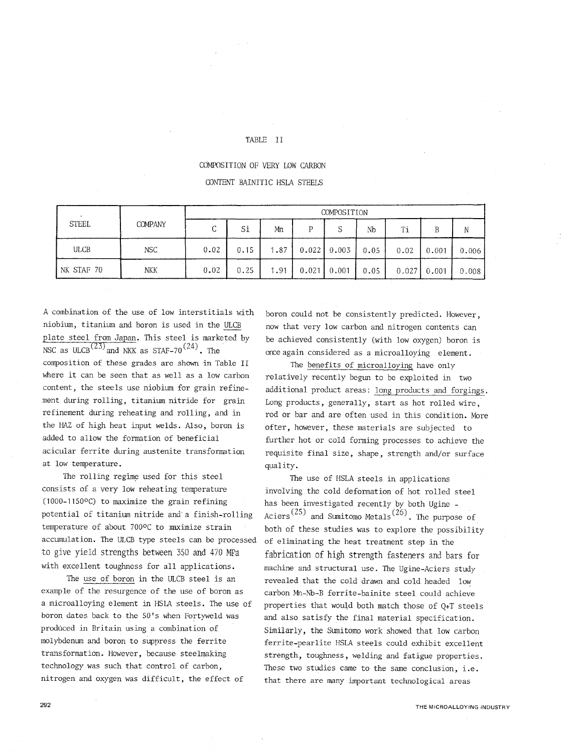## TABLE II

## COMPOSITION OF VERY LOW CARBON

## CONTENT BAINITIC HSLA STEELS

| <b>STEEL</b> | <b>COMPANY</b> | COMPOSITION |      |      |       |       |      |       |           |       |
|--------------|----------------|-------------|------|------|-------|-------|------|-------|-----------|-------|
|              |                | $\sqrt{ }$  | Si   | Mn   | D     | S     | Nb   | Ti    | $\cdot$ B |       |
| <b>ULCB</b>  | <b>NSC</b>     | 0.02        | 0.15 | 1.87 | 0.022 | 0.003 | 0.05 | 0.02  | 0.001     | 0,006 |
| NK STAF 70   | <b>NKK</b>     | 0.02        | 0.25 | .91  | 0.021 | 0.001 | 0.05 | 0.027 | 0.001     | 0.008 |

A combination of the use of low interstitials with niobium, titanium and boron is used in the ULCB plate steel from Japan. This steel is marketed by NSC as ULCB<sup> $(23)$ </sup> and NKK as STAF-70<sup>(24)</sup>. The composition of these grades are shown in Table II where it can be seen that as well as a low carbon content, the steels use niobium for grain refinement during rolling, titanium nitride for grain refinement during reheating and rolling, and in the HAZ of high heat input welds. Also, boron is added to allow the formation of beneficial acicular ferrite during austenite transformation

at low temperature. The rolling regime used for this steel consists of a very low reheating temperature (1000-1150°C) to maximize the grain refining potential of titanium nitride and· a finish-rolling temperature of about 700°C to maximize strain accumulation. The ULCB type steels can be processed to give yield strengths between 350 and 470 MFa with excellent toughness for all applications.

The use of boron in the ULCB steel is an example of the resurgence of the use of boron as a microalloying element in HSIA steels. The use of boron dates back to the 50's when Fortyweld was produced in Britain using a combination of molybdenum and boron to suppress the ferrite transformation. However, because steelmaking technology was such that control of carbon, nitrogen and oxygen was difficult, the effect of

boron could not be consistently predicted. However, now that very low carbon and nitrogen contents can be achieved consistently (with low oxygen) boron is once again considered as a microalloying element.

The benefits of microalloying have only relatively recently begun to be exploited in two additional product areas: long products and forgings. Long products, generally, start as hot rolled wire, rod or bar and are often used in this condition. More ofter, however, these materials are subjected to further hot or cold forming processes to achieve the requisite final size, shape, strength and/or surface quality.

The use of HSLA steels in applications involving the cold deformation of hot rolled steel has been investigated recently by both Ugine - Aciers<sup>(25)</sup> and Sumitomo Metals<sup>(26)</sup>. The purpose of both of these studies was to explore the possibility of eliminating the heat treatment step in the fabrication of high strength fasteners and bars for machine and structural use. The Ugine-Aciers study revealed that the cold drawn and cold headed low carbon Mn-Nb-B ferrite-bainite steel could achieve properties that would both match those of  $Q+T$  steels and also satisfy the final material specification. Similarly, the Sumitomo work showed that low carbon ferrite-pearlite HSLA steels could exhibit excellent strength, toughness, welding and fatigue properties. These two studies came to the same conclusion, i.e. that there are many important technological areas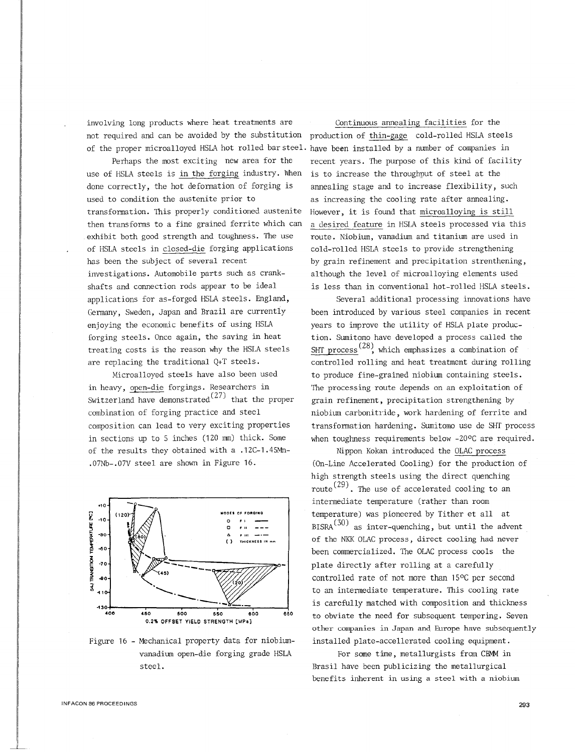involving long products where heat treatments are Continuous annealing facilities for the not required and can be avoided by the substitution production of thin-gage cold-rolled HSLA steels of the proper microalloyed HSLA hot rolled bar steel. have been installed by a number of companies in

use of HSLA steels is in the forging industry. When is to increase the throughput of steel at the done correctly, the hot deformation of forging is annealing stage and to increase flexibility, such used to condition the austenite prior to transformation. This properly conditioned austenite then transforms to a fine grained ferrite which can exhibit both good strength and toughness. The use of HSLA steels in closed-die forging applications has been the subject of several recent investigations. Automobile parts such as crankshafts and connection rods appear to be ideal applications for as-forged HSLA steels. England, Germany, Sweden, Japan and Brazil are currently enjoying the economic benefits of using HSLA forging steels. Once again, the saving in heat treating costs is the reason why the HSLA steels are replacing the traditional Q+T steels.

Microalloyed steels have also been used in heavy, open-die forgings. Researchers in Switzerland have demonstrated<sup>(27)</sup> that the proper combination of forging practice and steel composition can lead to very exciting properties in sections up to 5 inches (120 mm) thick. Some of the results they obtained with a .12C-1.4SMn- .07Nb-.07V steel are shown in Figure 16.



Figure 16 - Mechanical property data for niobiumvanadium open-die forging grade HSLA steel.

Perhaps the most exciting new area for the recent years. The purpose of this kind of facility as increasing the cooling rate after annealing. However, it is found that microalloying is still a desired feature in HSLA steels processed via this route. Niobium, vanadium and titanium are used in cold-rolled HSLA steels to provide strengthening by grain refinement and precipitation strenthening, although the level of microalloying elements used is less than in conventional hot-rolled HSLA steels.

> Several additional processing innovations have been introduced by various steel companies in recent years to improve the utility of HSLA plate production. Sumitomo have developed a process called the SHT process<sup>(28)</sup>, which emphasizes a combination of controlled rolling and heat treatment during rolling to produce fine-grained niobium containing steels. The processing route depends on an exploitation of grain refinement, precipitation strengthening by niobium carbonitride, work hardening of ferrite and transformation hardening. Sumitomo use de SHT process when toughness requirements below -20°C are required.

> Nippon Kokan introduced the OLAC process (On-Line Accelerated Cooling) for the production of high strength steels using the direct quenching route<sup>(29)</sup>. The use of accelerated cooling to an intermediate temperature (rather than room temperature) was pioneered by Tither et all at  $BISRA<sup>(30)</sup>$  as inter-quenching, but until the advent of the NKK OLAC process, direct cooling had never been commercialized. The OLAC process cools the plate directly after rolling at a carefully controlled rate of not more than 15°C per second to an intermediate temperature. This cooling rate is carefully matched with composition and thickness to obviate the need for subsequent tempering. Seven other companies in Japan and Europe have subsequently installed plate-accellerated cooling equipment.

For some time, metallurgists from CBMM in Brasil have been publicizing the metallurgical benefits inherent in using a steel with a niobium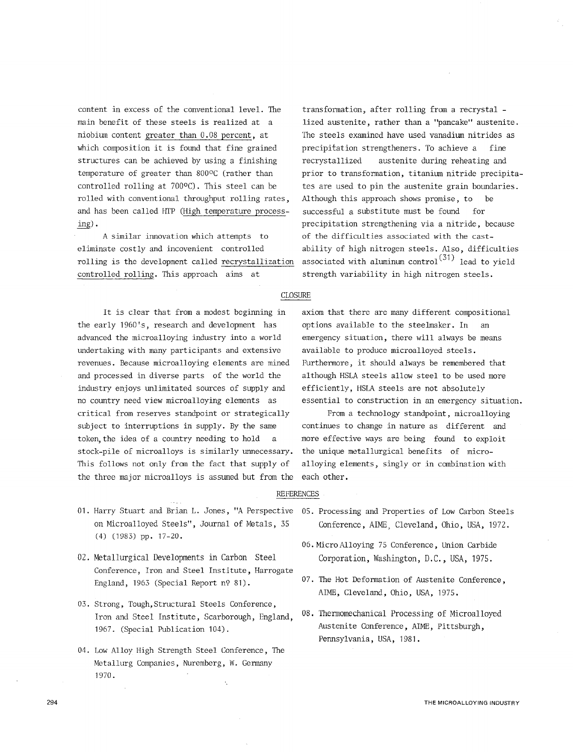content in excess of the conventional level. The main benefit of these steels is realized at a niobium content greater than 0.08 percent, at which composition it is found that fine grained structures can be achieved by using a finishing temperature of greater than 800°C (rather than controlled rolling at 7000C). This steel can be rolled with conventional throughput rolling rates, and has been called HTP (High temperature processing).

A similar innovation which attempts to eliminate costly and incovenient controlled rolling is the development called recrystallization controlled rolling. This approach aims at

transformation, after rolling from a recrystal lized austenite, rather than a "pancake" austenite. The steels examined have used vanadium nitrides as precipitation strengtheners. To achieve a fine recrystallized austenite during reheating and prior to transformation, titanium nitride precipitates are used to pin the austenite grain boundaries. Although this approach shows promise, to be successful a substitute must be found for precipitation strengthening via a nitride, because of the difficulties associated with the castability of high nitrogen steels. Also, difficulties associated with aluminum control<sup>(31)</sup> lead to yield strength variability in high nitrogen steels.

### CLOSURE

It is clear that from a modest beginning in the early 1960's, research and development has advanced the microalloying industry into a world undertaking with many participants and extensive revenues. Because microalloying elements are mined and processed in diverse parts of the world the industry enjoys unlimitated sources of supply and no country need view microalloying elements as critical from reserves standpoint or strategically subject to interruptions in supply. By the same token, the idea of a country needing to hold a stock-pile of microalloys is similarly unnecessary. This follows not only from the fact that supply of the three major microalloys is assumed but from the each other.

- 01. Harry Stuart and Brian L. Jones, "A Perspective on Microalloyed Steels", Journal of Metals, 35 (4) (1983) pp. 17-20.
- 02. Metallurgical Developments in Carbon Steel Conference, Iron and Steel Institute, Harrogate England, 1963 (Special Report n9 81).
- 03. Strong, Tough, Structural Steels Conference, Iron and Steel Institute, Scarborough, England, 1967. (Special Publication 104).
- 04. Low Alloy High Strength Steel Conference, The Metallurg Companies, Nuremberg, W. Germany 1970.

Ä,

axiom that there are many different compositional options available to the steelmaker. In an emergency situation, there will always be means available to produce microalloyed steels. Furthermore, it should always be remembered that although HSLA steels allow steel to be used more efficiently, HSLA steels are not absolutely essential to construction in an emergency situation.

From a technology standpoint, microalloying continues to change in nature as different and more effective ways are being found to exploit the unique metallurgical benefits of microalloying elements, singly or in combination with

### **REFERENCES**

- 05. Processing and Properties of Low Carbon Steels Conference, AIME, Cleveland, Ohio, USA, 1972.
- 06. Micro Alloying 75 Conference, Union Carbide Corporation, Washington, D.C., USA, 1975.
- 07. The Hot Deformation of Austenite Conference, AIME, Cleveland, Ohio, USA, 1975.
- 08. Thermomechanical Processing of Microalloyed Austenite Conference, AIME, Pittsburgh, Pennsylvania, USA, 1981.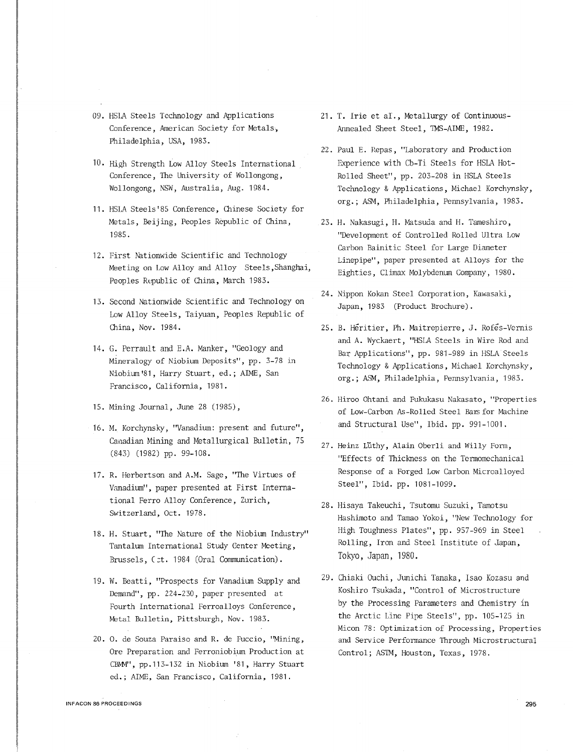- 09. HSLA Steels Technology and Applications Conference, American Society for Metals., Philadelphia, USA, 1983.
- 10. High Strength Low Alloy Steels International Conference, The University of Wollongong, Wollongong, NSW, Australia, Aug. 1984.
- 11. HSLA Steels'85 Conference, Chinese Society for Metals, Beijing, Peoples Republic of China, 1985.
- 12. First Nationwide Scientific and Technology Meeting on Low Alloy and Alloy Steels,Shanghai, Peoples Republic of China, March 1983.
- 13. Second Nationwide Scientific and Technology on Low Alloy Steels, Taiyuan, Peoples Republic of China, *Nov.* 1984.
- 14. G. Perrault and E.A. Manker, "Geology and Mineralogy of Niobium Deposits", pp. 3-78 in Niobium'81, Harry Stuart, ed.; AIME, San Francisco, California, 1981.
- 15. Mining Journal, June 28 (1985),
- 16. M. Korchynsky, "Vanadium: present and future", Canadian Mining and Metallurgical Bulletin, 75 (843) (1982) pp. 99-108.
- 17. R. Herbertson and A.M. Sage, "The Virtues of Vanadium", paper presented at First International Ferro Alloy Conference, Zurich, Switzerland, Oct. 1978.
- 18. H. Stuart, "The Nature of the Niobium Industry" Tantalwn International Study Center Meeting, Brussels, (ct. 1984 (Oral Communication).
- 19. W. Beatti, "Prospects for Vanadium Supply and Demand", pp. 224-230, paper presented at Fourth International Ferroalloys Conference, Metal Bulletin, Pittsburgh, Nov. 1983.
- 20. 0. de Souza Paraiso and R. de Fuccio, ''Mining, Ore Preparation and Ferroniobium Production at CBMM", pp. 113-132 in Niobium '81, Harry Stuart ed.; AIME, San Francisco, California, 1981.
- 21. T. Irie et al., Metallurgy of Continuous-Annealed Sheet Steel, IMS-AIME, 1982.
- 2'2. Paul E. Repas , ''Laboratory and Production Experience with Cb-Ti Steels for HSLA Hot-Rolled Sheet", pp. 203-208 in HSLA Steels Technology & Applications, Michael Korchynsky, org.; ASM, Philadelphia, Pennsylvania, 1983.
- 23. H. Nakasugi, H. Matsuda and H. Tameshiro, "Development of Controlled Rolled Ultra Low Carbon Bainitic Steel for Large Diameter Linepipe", paper presented at Alloys for the Eighties, Climax Molybdenum Company, 1980.
- 24. Nippon Kokan Steel Corporation, Kawasaki, Japan, 1983 (Product Brochure).
- 25. B. Heritier, Ph. Maitrepierre, J. Rofes-Vernis and A. Wyckaert, "HSLA Steels in Wire Rod and Bar Applications", pp. 981-989 in HSLA Steels Technology & Applications, Michael Korchynsky, org.; ASM, Philadelphia, Pennsylvania, 1983.
- 26. Hiroo Ohtani and Fukukasu Nakasato, "Properties of Low-Carbon As-Rolled Steel Bars for Machine and Structural Use", Ibid. pp. 991-1001.
- 27. Heinz Lüthy, Alain Oberli and Willy Form, "Effects of Thickness on the Termomechanical Response of a Forged Low Carbon Microalloyed Steel", Ibid. pp. 1081-1099.
- 28. Hisaya Takeuchi, Tsutomu Suzuki, Tamotsu Hashimoto and Tamao Yokoi, "New Technology for High Toughness Plates", pp. 957-969 in Steel Rolling, Iron and Steel Institute of Japan, Tokyo, Japan, 1980.
- 29. Chiaki Ouchi, Junichi Tanaka, Isao Kozasu and Koshiro Tsukada, "Control of Microstructure by the Processing Parameters and Chemistry in the Arctic Line Pipe Steels", pp. 105-125 in Micon 78: Optimization of Processing, Properties and Service Performance Through Microstructural Control; ASTM, Houston, Texas, 1978.